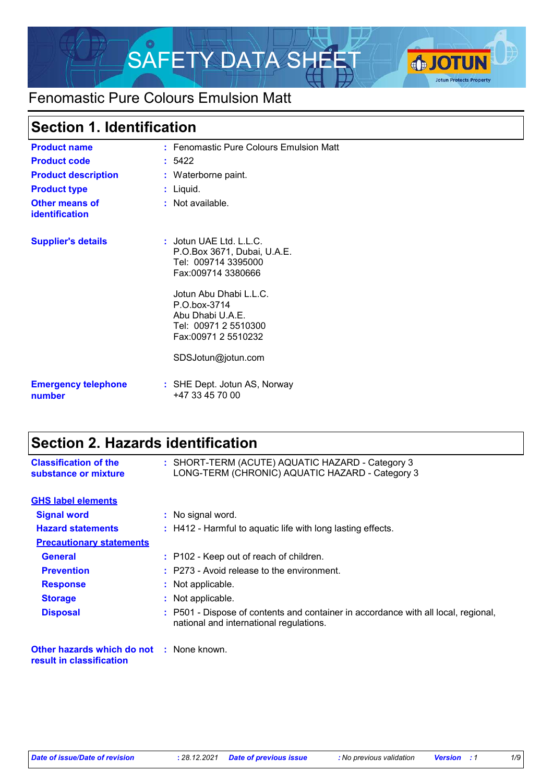

# Fenomastic Pure Colours Emulsion Matt

# **Section 1. Identification**

| <b>Product name</b>                  | : Fenomastic Pure Colours Emulsion Matt                                                                      |
|--------------------------------------|--------------------------------------------------------------------------------------------------------------|
| <b>Product code</b>                  | : 5422                                                                                                       |
| <b>Product description</b>           | : Waterborne paint.                                                                                          |
| <b>Product type</b>                  | : Liquid.                                                                                                    |
| Other means of<br>identification     | $:$ Not available.                                                                                           |
| <b>Supplier's details</b>            | $:$ Jotun UAE Ltd. L.L.C.<br>P.O.Box 3671, Dubai, U.A.E.<br>Tel: 009714 3395000<br>Fax:009714 3380666        |
|                                      | Jotun Abu Dhabi L.L.C.<br>$P.O.$ box-3714<br>Abu Dhabi U.A.E.<br>Tel: 00971 2 5510300<br>Fax:00971 2 5510232 |
|                                      | SDSJotun@jotun.com                                                                                           |
| <b>Emergency telephone</b><br>number | : SHE Dept. Jotun AS, Norway<br>+47 33 45 70 00                                                              |

# **Section 2. Hazards identification**

| <b>Classification of the</b><br>substance or mixture                        | : SHORT-TERM (ACUTE) AQUATIC HAZARD - Category 3<br>LONG-TERM (CHRONIC) AQUATIC HAZARD - Category 3                           |
|-----------------------------------------------------------------------------|-------------------------------------------------------------------------------------------------------------------------------|
| <b>GHS label elements</b>                                                   |                                                                                                                               |
| <b>Signal word</b>                                                          | : No signal word.                                                                                                             |
| <b>Hazard statements</b>                                                    | : H412 - Harmful to aquatic life with long lasting effects.                                                                   |
| <b>Precautionary statements</b>                                             |                                                                                                                               |
| <b>General</b>                                                              | : P102 - Keep out of reach of children.                                                                                       |
| <b>Prevention</b>                                                           | $:$ P273 - Avoid release to the environment.                                                                                  |
| <b>Response</b>                                                             | : Not applicable.                                                                                                             |
| <b>Storage</b>                                                              | : Not applicable.                                                                                                             |
| <b>Disposal</b>                                                             | : P501 - Dispose of contents and container in accordance with all local, regional,<br>national and international regulations. |
| <b>Other hazards which do not : None known.</b><br>result in classification |                                                                                                                               |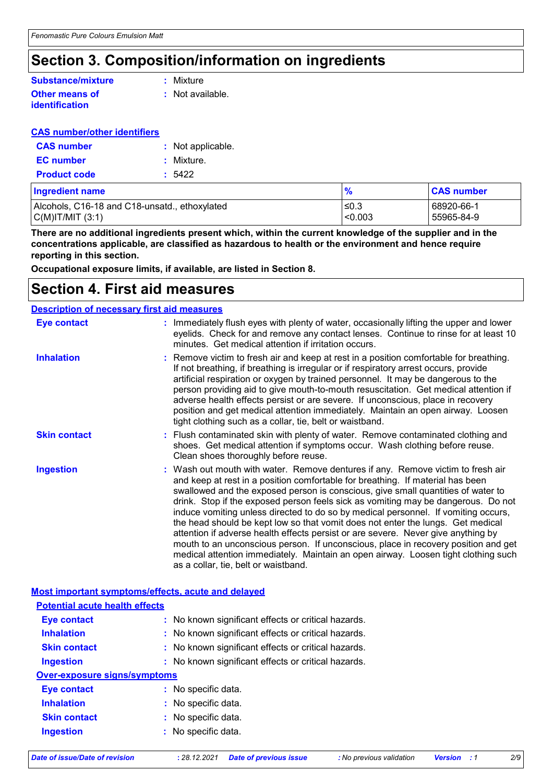# **Section 3. Composition/information on ingredients**

## **Other means of identification Substance/mixture**

**:** Mixture

**:** Not available.

## **CAS number/other identifiers**

| <b>CAS</b> number   | : Not applicable. |
|---------------------|-------------------|
| <b>EC</b> number    | : Mixture.        |
| <b>Product code</b> | : 5422            |

| Ingredient name                               | $\frac{9}{6}$ | <b>CAS number</b> |
|-----------------------------------------------|---------------|-------------------|
| Alcohols, C16-18 and C18-unsatd., ethoxylated | ≤0.3          | 68920-66-1        |
| C(M) T/MIT (3:1)                              | < 0.003       | 55965-84-9        |

**There are no additional ingredients present which, within the current knowledge of the supplier and in the concentrations applicable, are classified as hazardous to health or the environment and hence require reporting in this section.**

**Occupational exposure limits, if available, are listed in Section 8.**

## **Section 4. First aid measures**

| <b>Description of necessary first aid measures</b> |                                                                                                                                                                                                                                                                                                                                                                                                                                                                                                                                                                                                                                                                                                                                                                                                                              |
|----------------------------------------------------|------------------------------------------------------------------------------------------------------------------------------------------------------------------------------------------------------------------------------------------------------------------------------------------------------------------------------------------------------------------------------------------------------------------------------------------------------------------------------------------------------------------------------------------------------------------------------------------------------------------------------------------------------------------------------------------------------------------------------------------------------------------------------------------------------------------------------|
| Eye contact                                        | : Immediately flush eyes with plenty of water, occasionally lifting the upper and lower<br>eyelids. Check for and remove any contact lenses. Continue to rinse for at least 10<br>minutes. Get medical attention if irritation occurs.                                                                                                                                                                                                                                                                                                                                                                                                                                                                                                                                                                                       |
| <b>Inhalation</b>                                  | : Remove victim to fresh air and keep at rest in a position comfortable for breathing.<br>If not breathing, if breathing is irregular or if respiratory arrest occurs, provide<br>artificial respiration or oxygen by trained personnel. It may be dangerous to the<br>person providing aid to give mouth-to-mouth resuscitation. Get medical attention if<br>adverse health effects persist or are severe. If unconscious, place in recovery<br>position and get medical attention immediately. Maintain an open airway. Loosen<br>tight clothing such as a collar, tie, belt or waistband.                                                                                                                                                                                                                                 |
| <b>Skin contact</b>                                | : Flush contaminated skin with plenty of water. Remove contaminated clothing and<br>shoes. Get medical attention if symptoms occur. Wash clothing before reuse.<br>Clean shoes thoroughly before reuse.                                                                                                                                                                                                                                                                                                                                                                                                                                                                                                                                                                                                                      |
| <b>Ingestion</b>                                   | : Wash out mouth with water. Remove dentures if any. Remove victim to fresh air<br>and keep at rest in a position comfortable for breathing. If material has been<br>swallowed and the exposed person is conscious, give small quantities of water to<br>drink. Stop if the exposed person feels sick as vomiting may be dangerous. Do not<br>induce vomiting unless directed to do so by medical personnel. If vomiting occurs,<br>the head should be kept low so that vomit does not enter the lungs. Get medical<br>attention if adverse health effects persist or are severe. Never give anything by<br>mouth to an unconscious person. If unconscious, place in recovery position and get<br>medical attention immediately. Maintain an open airway. Loosen tight clothing such<br>as a collar, tie, belt or waistband. |

## **Most important symptoms/effects, acute and delayed**

| <b>Potential acute health effects</b> |                                                     |
|---------------------------------------|-----------------------------------------------------|
| <b>Eye contact</b>                    | : No known significant effects or critical hazards. |
| <b>Inhalation</b>                     | : No known significant effects or critical hazards. |
| <b>Skin contact</b>                   | : No known significant effects or critical hazards. |
| <b>Ingestion</b>                      | : No known significant effects or critical hazards. |
| <b>Over-exposure signs/symptoms</b>   |                                                     |
| <b>Eye contact</b>                    | : No specific data.                                 |
| <b>Inhalation</b>                     | : No specific data.                                 |
| <b>Skin contact</b>                   | : No specific data.                                 |
| <b>Ingestion</b>                      | : No specific data.                                 |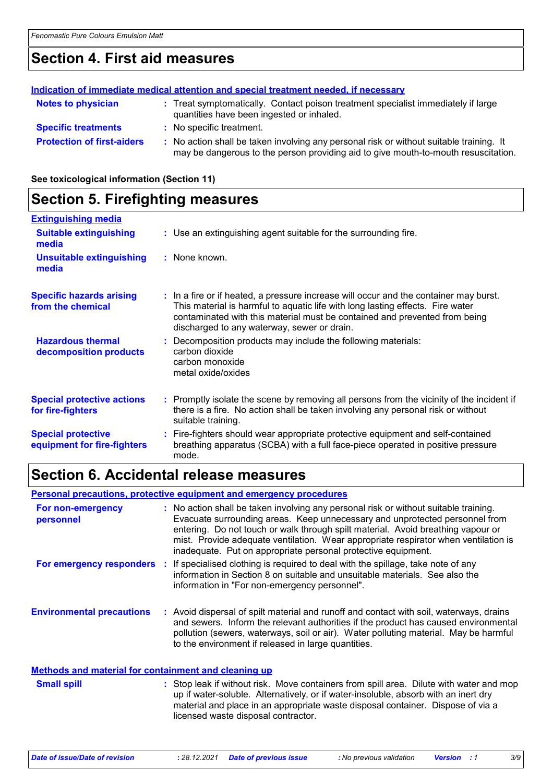# **Section 4. First aid measures**

|                                   | Indication of immediate medical attention and special treatment needed, if necessary                                                                                          |
|-----------------------------------|-------------------------------------------------------------------------------------------------------------------------------------------------------------------------------|
| <b>Notes to physician</b>         | : Treat symptomatically. Contact poison treatment specialist immediately if large<br>quantities have been ingested or inhaled.                                                |
| <b>Specific treatments</b>        | : No specific treatment.                                                                                                                                                      |
| <b>Protection of first-aiders</b> | : No action shall be taken involving any personal risk or without suitable training. It<br>may be dangerous to the person providing aid to give mouth-to-mouth resuscitation. |

**See toxicological information (Section 11)**

## **Section 5. Firefighting measures**

| <b>Extinguishing media</b>                               |                                                                                                                                                                                                                                                                                                      |
|----------------------------------------------------------|------------------------------------------------------------------------------------------------------------------------------------------------------------------------------------------------------------------------------------------------------------------------------------------------------|
| <b>Suitable extinguishing</b><br>media                   | : Use an extinguishing agent suitable for the surrounding fire.                                                                                                                                                                                                                                      |
| <b>Unsuitable extinguishing</b><br>media                 | : None known.                                                                                                                                                                                                                                                                                        |
| <b>Specific hazards arising</b><br>from the chemical     | : In a fire or if heated, a pressure increase will occur and the container may burst.<br>This material is harmful to aquatic life with long lasting effects. Fire water<br>contaminated with this material must be contained and prevented from being<br>discharged to any waterway, sewer or drain. |
| <b>Hazardous thermal</b><br>decomposition products       | : Decomposition products may include the following materials:<br>carbon dioxide<br>carbon monoxide<br>metal oxide/oxides                                                                                                                                                                             |
| <b>Special protective actions</b><br>for fire-fighters   | : Promptly isolate the scene by removing all persons from the vicinity of the incident if<br>there is a fire. No action shall be taken involving any personal risk or without<br>suitable training.                                                                                                  |
| <b>Special protective</b><br>equipment for fire-fighters | : Fire-fighters should wear appropriate protective equipment and self-contained<br>breathing apparatus (SCBA) with a full face-piece operated in positive pressure<br>mode.                                                                                                                          |

## **Section 6. Accidental release measures**

**Personal precautions, protective equipment and emergency procedures**

| For non-emergency<br>personnel   | : No action shall be taken involving any personal risk or without suitable training.<br>Evacuate surrounding areas. Keep unnecessary and unprotected personnel from<br>entering. Do not touch or walk through spilt material. Avoid breathing vapour or<br>mist. Provide adequate ventilation. Wear appropriate respirator when ventilation is<br>inadequate. Put on appropriate personal protective equipment. |
|----------------------------------|-----------------------------------------------------------------------------------------------------------------------------------------------------------------------------------------------------------------------------------------------------------------------------------------------------------------------------------------------------------------------------------------------------------------|
| For emergency responders         | If specialised clothing is required to deal with the spillage, take note of any<br>information in Section 8 on suitable and unsuitable materials. See also the<br>information in "For non-emergency personnel".                                                                                                                                                                                                 |
| <b>Environmental precautions</b> | : Avoid dispersal of spilt material and runoff and contact with soil, waterways, drains<br>and sewers. Inform the relevant authorities if the product has caused environmental<br>pollution (sewers, waterways, soil or air). Water polluting material. May be harmful<br>to the environment if released in large quantities.                                                                                   |

#### Stop leak if without risk. Move containers from spill area. Dilute with water and mop up if water-soluble. Alternatively, or if water-insoluble, absorb with an inert dry material and place in an appropriate waste disposal container. Dispose of via a licensed waste disposal contractor. **Small spill : Methods and material for containment and cleaning up**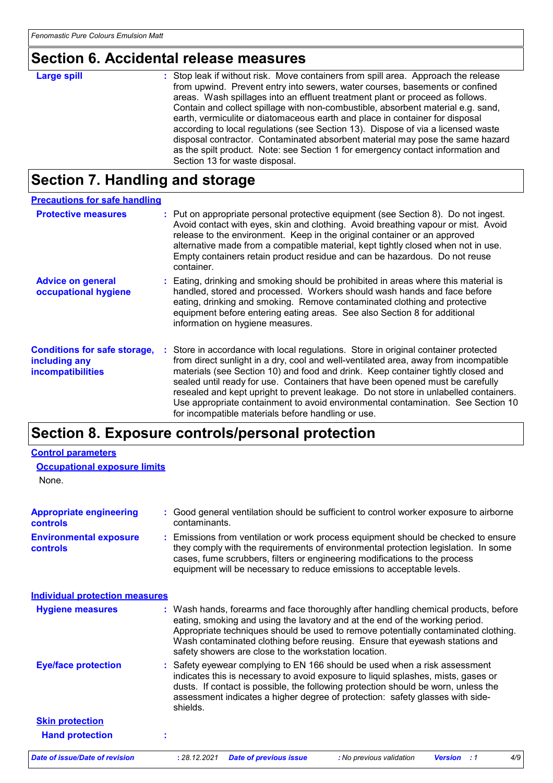# **Section 6. Accidental release measures**

| <b>Large spill</b> | : Stop leak if without risk. Move containers from spill area. Approach the release<br>from upwind. Prevent entry into sewers, water courses, basements or confined<br>areas. Wash spillages into an effluent treatment plant or proceed as follows.<br>Contain and collect spillage with non-combustible, absorbent material e.g. sand,<br>earth, vermiculite or diatomaceous earth and place in container for disposal |
|--------------------|-------------------------------------------------------------------------------------------------------------------------------------------------------------------------------------------------------------------------------------------------------------------------------------------------------------------------------------------------------------------------------------------------------------------------|
|                    | according to local regulations (see Section 13). Dispose of via a licensed waste<br>disposal contractor. Contaminated absorbent material may pose the same hazard                                                                                                                                                                                                                                                       |
|                    | as the spilt product. Note: see Section 1 for emergency contact information and                                                                                                                                                                                                                                                                                                                                         |
|                    | Section 13 for waste disposal.                                                                                                                                                                                                                                                                                                                                                                                          |

# **Section 7. Handling and storage**

| <b>Precautions for safe handling</b>                                             |                                                                                                                                                                                                                                                                                                                                                                                                                                                                                                                                                                                     |
|----------------------------------------------------------------------------------|-------------------------------------------------------------------------------------------------------------------------------------------------------------------------------------------------------------------------------------------------------------------------------------------------------------------------------------------------------------------------------------------------------------------------------------------------------------------------------------------------------------------------------------------------------------------------------------|
| <b>Protective measures</b>                                                       | : Put on appropriate personal protective equipment (see Section 8). Do not ingest.<br>Avoid contact with eyes, skin and clothing. Avoid breathing vapour or mist. Avoid<br>release to the environment. Keep in the original container or an approved<br>alternative made from a compatible material, kept tightly closed when not in use.<br>Empty containers retain product residue and can be hazardous. Do not reuse<br>container.                                                                                                                                               |
| <b>Advice on general</b><br>occupational hygiene                                 | : Eating, drinking and smoking should be prohibited in areas where this material is<br>handled, stored and processed. Workers should wash hands and face before<br>eating, drinking and smoking. Remove contaminated clothing and protective<br>equipment before entering eating areas. See also Section 8 for additional<br>information on hygiene measures.                                                                                                                                                                                                                       |
| <b>Conditions for safe storage,</b><br>including any<br><b>incompatibilities</b> | : Store in accordance with local regulations. Store in original container protected<br>from direct sunlight in a dry, cool and well-ventilated area, away from incompatible<br>materials (see Section 10) and food and drink. Keep container tightly closed and<br>sealed until ready for use. Containers that have been opened must be carefully<br>resealed and kept upright to prevent leakage. Do not store in unlabelled containers.<br>Use appropriate containment to avoid environmental contamination. See Section 10<br>for incompatible materials before handling or use. |

# **Section 8. Exposure controls/personal protection**

| <b>Control parameters</b>                         |                                                                                                                                                                                                                                                                                                                                                                                                   |
|---------------------------------------------------|---------------------------------------------------------------------------------------------------------------------------------------------------------------------------------------------------------------------------------------------------------------------------------------------------------------------------------------------------------------------------------------------------|
| <b>Occupational exposure limits</b>               |                                                                                                                                                                                                                                                                                                                                                                                                   |
| None.                                             |                                                                                                                                                                                                                                                                                                                                                                                                   |
| <b>Appropriate engineering</b><br><b>controls</b> | : Good general ventilation should be sufficient to control worker exposure to airborne<br>contaminants.                                                                                                                                                                                                                                                                                           |
| <b>Environmental exposure</b><br><b>controls</b>  | : Emissions from ventilation or work process equipment should be checked to ensure<br>they comply with the requirements of environmental protection legislation. In some<br>cases, fume scrubbers, filters or engineering modifications to the process<br>equipment will be necessary to reduce emissions to acceptable levels.                                                                   |
| <b>Individual protection measures</b>             |                                                                                                                                                                                                                                                                                                                                                                                                   |
| <b>Hygiene measures</b>                           | : Wash hands, forearms and face thoroughly after handling chemical products, before<br>eating, smoking and using the lavatory and at the end of the working period.<br>Appropriate techniques should be used to remove potentially contaminated clothing.<br>Wash contaminated clothing before reusing. Ensure that eyewash stations and<br>safety showers are close to the workstation location. |
| <b>Eye/face protection</b>                        | : Safety eyewear complying to EN 166 should be used when a risk assessment<br>indicates this is necessary to avoid exposure to liquid splashes, mists, gases or<br>dusts. If contact is possible, the following protection should be worn, unless the<br>assessment indicates a higher degree of protection: safety glasses with side-<br>shields.                                                |
| <b>Skin protection</b>                            |                                                                                                                                                                                                                                                                                                                                                                                                   |
| <b>Hand protection</b>                            |                                                                                                                                                                                                                                                                                                                                                                                                   |
| <b>Date of issue/Date of revision</b>             | : 28.12.2021<br>4/9<br><b>Date of previous issue</b><br>: No previous validation<br><b>Version</b> : 1                                                                                                                                                                                                                                                                                            |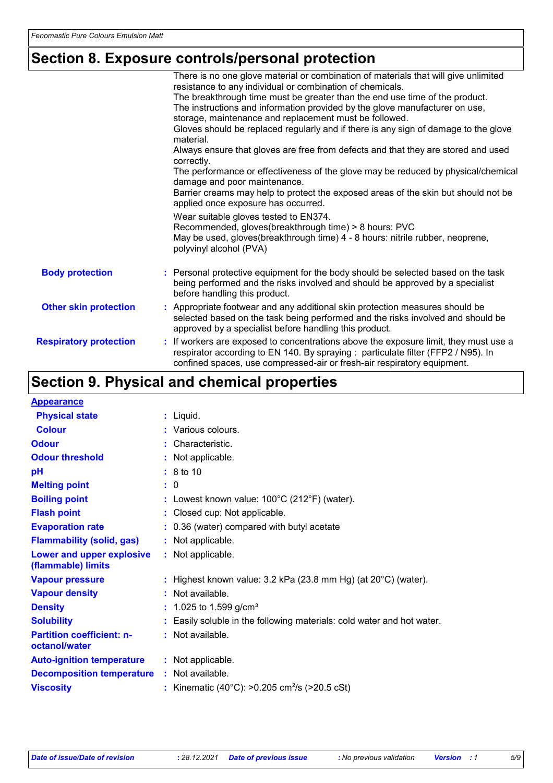# **Section 8. Exposure controls/personal protection**

|                               | There is no one glove material or combination of materials that will give unlimited                                                                                                                                                                  |
|-------------------------------|------------------------------------------------------------------------------------------------------------------------------------------------------------------------------------------------------------------------------------------------------|
|                               | resistance to any individual or combination of chemicals.                                                                                                                                                                                            |
|                               | The breakthrough time must be greater than the end use time of the product.                                                                                                                                                                          |
|                               | The instructions and information provided by the glove manufacturer on use,                                                                                                                                                                          |
|                               | storage, maintenance and replacement must be followed.                                                                                                                                                                                               |
|                               | Gloves should be replaced regularly and if there is any sign of damage to the glove<br>material.                                                                                                                                                     |
|                               | Always ensure that gloves are free from defects and that they are stored and used<br>correctly.                                                                                                                                                      |
|                               | The performance or effectiveness of the glove may be reduced by physical/chemical<br>damage and poor maintenance.                                                                                                                                    |
|                               | Barrier creams may help to protect the exposed areas of the skin but should not be<br>applied once exposure has occurred.                                                                                                                            |
|                               | Wear suitable gloves tested to EN374.<br>Recommended, gloves(breakthrough time) > 8 hours: PVC<br>May be used, gloves (breakthrough time) 4 - 8 hours: nitrile rubber, neoprene,<br>polyvinyl alcohol (PVA)                                          |
| <b>Body protection</b>        | : Personal protective equipment for the body should be selected based on the task<br>being performed and the risks involved and should be approved by a specialist<br>before handling this product.                                                  |
| <b>Other skin protection</b>  | : Appropriate footwear and any additional skin protection measures should be<br>selected based on the task being performed and the risks involved and should be<br>approved by a specialist before handling this product.                            |
| <b>Respiratory protection</b> | : If workers are exposed to concentrations above the exposure limit, they must use a<br>respirator according to EN 140. By spraying : particulate filter (FFP2 / N95). In<br>confined spaces, use compressed-air or fresh-air respiratory equipment. |

# **Section 9. Physical and chemical properties**

| <b>Appearance</b>                                 |                                                                            |
|---------------------------------------------------|----------------------------------------------------------------------------|
| <b>Physical state</b>                             | $:$ Liquid.                                                                |
| <b>Colour</b>                                     | : Various colours.                                                         |
| <b>Odour</b>                                      | : Characteristic.                                                          |
| <b>Odour threshold</b>                            | : Not applicable.                                                          |
| pH                                                | $\therefore$ 8 to 10                                                       |
| <b>Melting point</b>                              | : 0                                                                        |
| <b>Boiling point</b>                              | : Lowest known value: $100^{\circ}$ C (212 $^{\circ}$ F) (water).          |
| <b>Flash point</b>                                | : Closed cup: Not applicable.                                              |
| <b>Evaporation rate</b>                           | : 0.36 (water) compared with butyl acetate                                 |
| <b>Flammability (solid, gas)</b>                  | : Not applicable.                                                          |
| Lower and upper explosive<br>(flammable) limits   | : Not applicable.                                                          |
| <b>Vapour pressure</b>                            | : Highest known value: $3.2$ kPa (23.8 mm Hg) (at $20^{\circ}$ C) (water). |
| <b>Vapour density</b>                             | : Not available.                                                           |
| <b>Density</b>                                    | : 1.025 to 1.599 g/cm <sup>3</sup>                                         |
| <b>Solubility</b>                                 | : Easily soluble in the following materials: cold water and hot water.     |
| <b>Partition coefficient: n-</b><br>octanol/water | : Not available.                                                           |
| <b>Auto-ignition temperature</b>                  | : Not applicable.                                                          |
| <b>Decomposition temperature</b>                  | : Not available.                                                           |
| <b>Viscosity</b>                                  | : Kinematic (40°C): >0.205 cm <sup>2</sup> /s (>20.5 cSt)                  |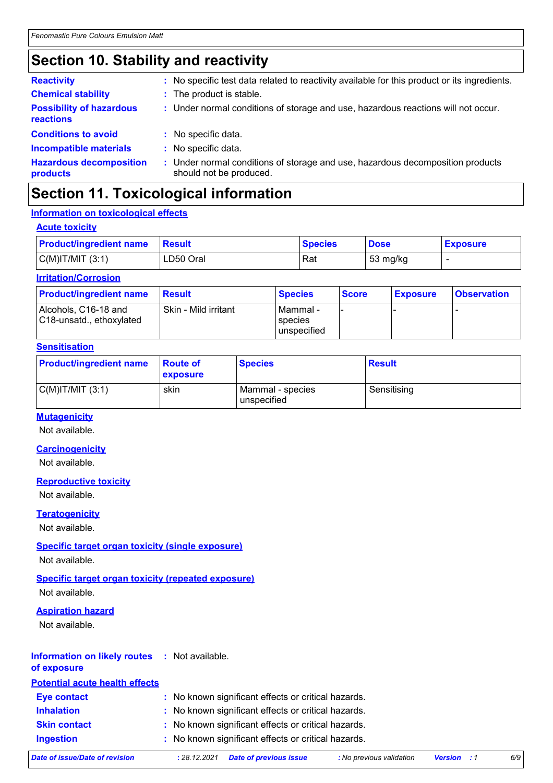# **Section 10. Stability and reactivity**

| <b>Reactivity</b>                            | : No specific test data related to reactivity available for this product or its ingredients.              |
|----------------------------------------------|-----------------------------------------------------------------------------------------------------------|
| <b>Chemical stability</b>                    | : The product is stable.                                                                                  |
| <b>Possibility of hazardous</b><br>reactions | : Under normal conditions of storage and use, hazardous reactions will not occur.                         |
| <b>Conditions to avoid</b>                   | : No specific data.                                                                                       |
| <b>Incompatible materials</b>                | : No specific data.                                                                                       |
| <b>Hazardous decomposition</b><br>products   | : Under normal conditions of storage and use, hazardous decomposition products<br>should not be produced. |

# **Section 11. Toxicological information**

## **Information on toxicological effects**

| <b>Acute toxicity</b>          |               |                |             |                 |  |
|--------------------------------|---------------|----------------|-------------|-----------------|--|
| <b>Product/ingredient name</b> | <b>Result</b> | <b>Species</b> | <b>Dose</b> | <b>Exposure</b> |  |
| $C(M)$ IT/MIT $(3:1)$          | LD50 Oral     | Rat            | 53 mg/kg    |                 |  |

## **Irritation/Corrosion**

| <b>Product/ingredient name</b>                   | <b>Besult</b>        | <b>Species</b>                       | <b>Score</b> | <b>Exposure</b> | <b>Observation</b> |
|--------------------------------------------------|----------------------|--------------------------------------|--------------|-----------------|--------------------|
| Alcohols, C16-18 and<br>C18-unsatd., ethoxylated | Skin - Mild irritant | l Mammal -<br>species<br>unspecified |              |                 |                    |

## **Sensitisation**

| <b>Product/ingredient name</b> | <b>Route of</b><br>exposure | <b>Species</b>                  | <b>Result</b> |
|--------------------------------|-----------------------------|---------------------------------|---------------|
| $C(M)$ IT/MIT $(3:1)$          | skin                        | Mammal - species<br>unspecified | Sensitising   |

## **Mutagenicity**

Not available.

## **Carcinogenicity**

Not available.

## **Reproductive toxicity**

Not available.

## **Teratogenicity**

Not available.

## **Specific target organ toxicity (single exposure)**

Not available.

## **Specific target organ toxicity (repeated exposure)**

Not available.

## **Aspiration hazard**

Not available.

## **Information on likely routes :** Not available.

**of exposure**

| <b>Potential acute health effects</b> |                                                     |
|---------------------------------------|-----------------------------------------------------|
| <b>Eye contact</b>                    | : No known significant effects or critical hazards. |
| <b>Inhalation</b>                     | : No known significant effects or critical hazards. |
| <b>Skin contact</b>                   | : No known significant effects or critical hazards. |
| <b>Ingestion</b>                      | : No known significant effects or critical hazards. |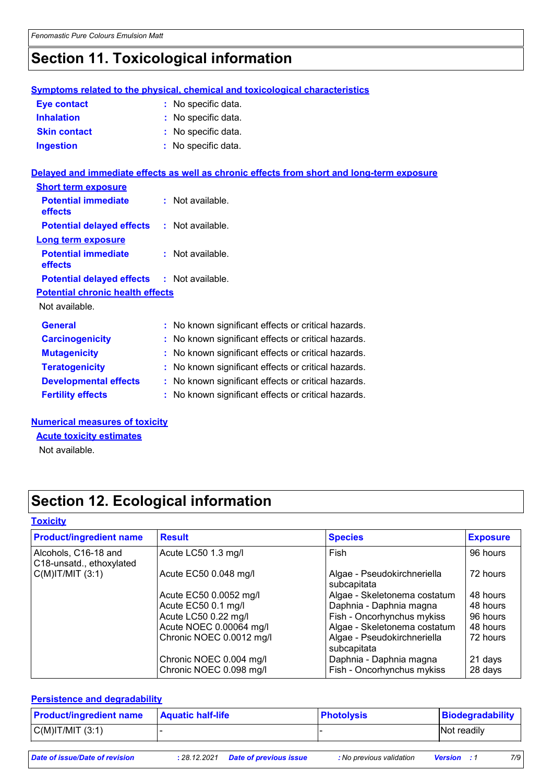# **Section 11. Toxicological information**

|                                                   | <b>Symptoms related to the physical, chemical and toxicological characteristics</b>        |
|---------------------------------------------------|--------------------------------------------------------------------------------------------|
| <b>Eye contact</b>                                | : No specific data.                                                                        |
| <b>Inhalation</b>                                 | : No specific data.                                                                        |
| <b>Skin contact</b>                               | : No specific data.                                                                        |
| <b>Ingestion</b>                                  | : No specific data.                                                                        |
|                                                   | Delayed and immediate effects as well as chronic effects from short and long-term exposure |
| <b>Short term exposure</b>                        |                                                                                            |
| <b>Potential immediate</b><br>effects             | : Not available.                                                                           |
| <b>Potential delayed effects : Not available.</b> |                                                                                            |
| <b>Long term exposure</b>                         |                                                                                            |
| <b>Potential immediate</b><br>effects             | $\therefore$ Not available.                                                                |
| <b>Potential delayed effects : Not available.</b> |                                                                                            |
| <b>Potential chronic health effects</b>           |                                                                                            |
| Not available.                                    |                                                                                            |
| <b>General</b>                                    | : No known significant effects or critical hazards.                                        |
| <b>Carcinogenicity</b>                            | No known significant effects or critical hazards.                                          |
| <b>Mutagenicity</b>                               | No known significant effects or critical hazards                                           |

| <u>      .</u>               |                                                     |
|------------------------------|-----------------------------------------------------|
| <b>Teratogenicity</b>        | : No known significant effects or critical hazards. |
| <b>Developmental effects</b> | : No known significant effects or critical hazards. |
| <b>Fertility effects</b>     | : No known significant effects or critical hazards. |
|                              |                                                     |

## **Numerical measures of toxicity**

**Acute toxicity estimates**

Not available.

# **Section 12. Ecological information**

## **Toxicity**

| <b>Product/ingredient name</b>                   | <b>Result</b>                                      | <b>Species</b>                                        | <b>Exposure</b>    |
|--------------------------------------------------|----------------------------------------------------|-------------------------------------------------------|--------------------|
| Alcohols, C16-18 and<br>C18-unsatd., ethoxylated | Acute LC50 1.3 mg/l                                | Fish                                                  | 96 hours           |
| $C(M)$ IT/MIT $(3:1)$                            | Acute EC50 0.048 mg/l                              | Algae - Pseudokirchneriella<br>subcapitata            | 72 hours           |
|                                                  | Acute EC50 0.0052 mg/l                             | Algae - Skeletonema costatum                          | 48 hours           |
|                                                  | Acute EC50 0.1 mg/l                                | Daphnia - Daphnia magna                               | 48 hours           |
|                                                  | Acute LC50 0.22 mg/l                               | Fish - Oncorhynchus mykiss                            | 96 hours           |
|                                                  | Acute NOEC 0.00064 mg/l                            | Algae - Skeletonema costatum                          | 48 hours           |
|                                                  | Chronic NOEC 0.0012 mg/l                           | Algae - Pseudokirchneriella<br>subcapitata            | 72 hours           |
|                                                  | Chronic NOEC 0.004 mg/l<br>Chronic NOEC 0.098 mg/l | Daphnia - Daphnia magna<br>Fish - Oncorhynchus mykiss | 21 days<br>28 days |

## **Persistence and degradability**

| $C(M)$ IT/MIT $(3:1)$<br>Not readily |  |
|--------------------------------------|--|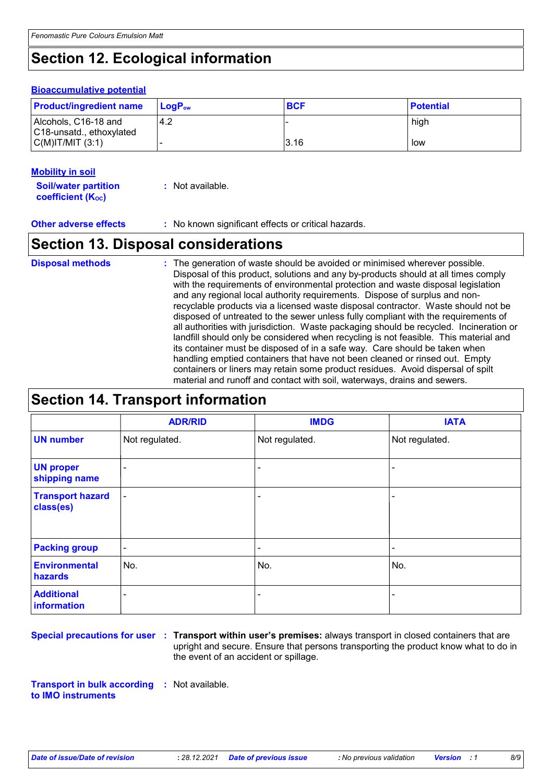# **Section 12. Ecological information**

## **Bioaccumulative potential**

| <b>Product/ingredient name</b>                   | <b>LogP</b> <sub>ow</sub> | <b>BCF</b> | <b>Potential</b> |
|--------------------------------------------------|---------------------------|------------|------------------|
| Alcohols, C16-18 and<br>C18-unsatd., ethoxylated | 4.2                       |            | high             |
| $C(M)$ IT/MIT $(3:1)$                            |                           | 3.16       | low              |

## **Mobility in soil**

**Soil/water partition coefficient (KOC) :** Not available.

**Other adverse effects :** No known significant effects or critical hazards.

# **Section 13. Disposal considerations**

The generation of waste should be avoided or minimised wherever possible. Disposal of this product, solutions and any by-products should at all times comply with the requirements of environmental protection and waste disposal legislation and any regional local authority requirements. Dispose of surplus and nonrecyclable products via a licensed waste disposal contractor. Waste should not be disposed of untreated to the sewer unless fully compliant with the requirements of all authorities with jurisdiction. Waste packaging should be recycled. Incineration or landfill should only be considered when recycling is not feasible. This material and its container must be disposed of in a safe way. Care should be taken when handling emptied containers that have not been cleaned or rinsed out. Empty containers or liners may retain some product residues. Avoid dispersal of spilt material and runoff and contact with soil, waterways, drains and sewers. **Disposal methods :**

# **Section 14. Transport information**

|                                      | <b>ADR/RID</b> | <b>IMDG</b>    | <b>IATA</b>    |
|--------------------------------------|----------------|----------------|----------------|
| <b>UN number</b>                     | Not regulated. | Not regulated. | Not regulated. |
| <b>UN proper</b><br>shipping name    | $\blacksquare$ |                |                |
| <b>Transport hazard</b><br>class(es) | $\blacksquare$ | ۰              | -              |
| <b>Packing group</b>                 | $\blacksquare$ | $\blacksquare$ | ۰              |
| <b>Environmental</b><br>hazards      | No.            | No.            | No.            |
| <b>Additional</b><br>information     | ۰              | ۰              | $\blacksquare$ |

**Special precautions for user Transport within user's premises:** always transport in closed containers that are **:** upright and secure. Ensure that persons transporting the product know what to do in the event of an accident or spillage.

**Transport in bulk according :** Not available. **to IMO instruments**